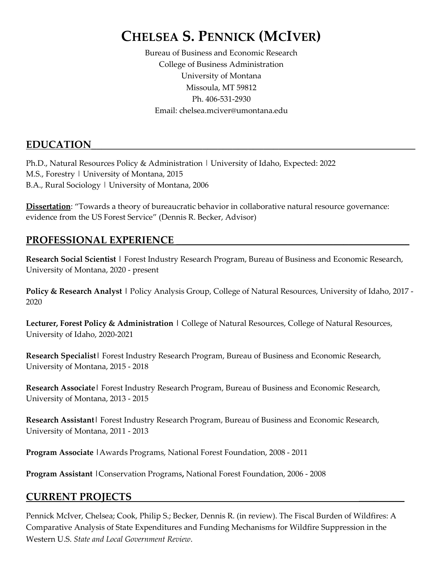# **CHELSEA S. PENNICK (MCIVER)**

Bureau of Business and Economic Research College of Business Administration University of Montana Missoula, MT 59812 Ph. 406-531-2930 Email: chelsea.mciver@umontana.edu

### EDUCATION

Ph.D., Natural Resources Policy & Administration | University of Idaho, Expected: 2022 M.S., Forestry | University of Montana, 2015 B.A., Rural Sociology | University of Montana, 2006

**Dissertation**: "Towards a theory of bureaucratic behavior in collaborative natural resource governance: evidence from the US Forest Service" (Dennis R. Becker, Advisor)

### PROFESSIONAL EXPERIENCE

**Research Social Scientist |** Forest Industry Research Program, Bureau of Business and Economic Research, University of Montana, 2020 - present

**Policy & Research Analyst |** Policy Analysis Group, College of Natural Resources, University of Idaho, 2017 - 2020

**Lecturer, Forest Policy & Administration |** College of Natural Resources, College of Natural Resources, University of Idaho, 2020-2021

**Research Specialist|** Forest Industry Research Program, Bureau of Business and Economic Research, University of Montana, 2015 - 2018

**Research Associate|** Forest Industry Research Program, Bureau of Business and Economic Research, University of Montana, 2013 - 2015

**Research Assistant|** Forest Industry Research Program, Bureau of Business and Economic Research, University of Montana, 2011 - 2013

**Program Associate |**Awards Programs, National Forest Foundation, 2008 - 2011

**Program Assistant |**Conservation Programs**,** National Forest Foundation, 2006 - 2008

### **CURRENT PROJECTS \_\_\_\_\_\_\_\_\_**

Pennick McIver, Chelsea; Cook, Philip S.; Becker, Dennis R. (in review). The Fiscal Burden of Wildfires: A Comparative Analysis of State Expenditures and Funding Mechanisms for Wildfire Suppression in the Western U.S. *State and Local Government Review*.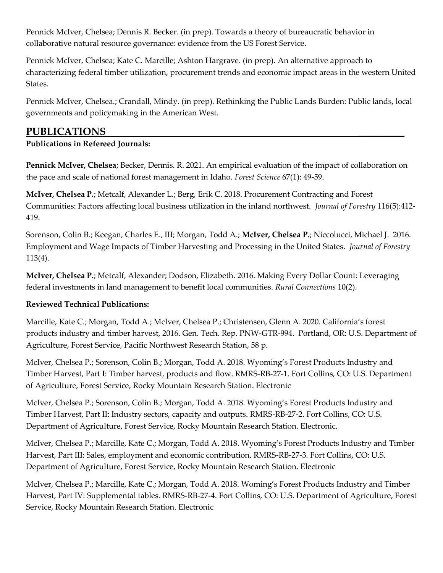Pennick McIver, Chelsea; Dennis R. Becker. (in prep). Towards a theory of bureaucratic behavior in collaborative natural resource governance: evidence from the US Forest Service.

Pennick McIver, Chelsea; Kate C. Marcille; Ashton Hargrave. (in prep). An alternative approach to characterizing federal timber utilization, procurement trends and economic impact areas in the western United States.

Pennick McIver, Chelsea.; Crandall, Mindy. (in prep). Rethinking the Public Lands Burden: Public lands, local governments and policymaking in the American West.

### **PUBLICATIONS \_\_\_\_\_\_\_\_\_**

#### **Publications in Refereed Journals:**

**Pennick McIver, Chelsea**; Becker, Dennis. R. 2021. An empirical evaluation of the impact of collaboration on the pace and scale of national forest management in Idaho. *Forest Science* 67(1): 49-59.

**McIver, Chelsea P.**; Metcalf, Alexander L.; Berg, Erik C. 2018. Procurement Contracting and Forest Communities: Factors affecting local business utilization in the inland northwest. *Journal of Forestry* 116(5):412- 419.

Sorenson, Colin B.; Keegan, Charles E., III; Morgan, Todd A.; **McIver, Chelsea P.**; Niccolucci, Michael J. 2016. Employment and Wage Impacts of Timber Harvesting and Processing in the United States. *Journal of Forestry* 113(4).

**McIver, Chelsea P.**; Metcalf, Alexander; Dodson, Elizabeth. 2016. Making Every Dollar Count: Leveraging federal investments in land management to benefit local communities. *Rural Connections* 10(2).

#### **Reviewed Technical Publications:**

Marcille, Kate C.; Morgan, Todd A.; McIver, Chelsea P.; Christensen, Glenn A. 2020. California's forest products industry and timber harvest, 2016. Gen. Tech. Rep. PNW-GTR-994. Portland, OR: U.S. Department of Agriculture, Forest Service, Pacific Northwest Research Station, 58 p.

McIver, Chelsea P.; Sorenson, Colin B.; Morgan, Todd A. 2018. Wyoming's Forest Products Industry and Timber Harvest, Part I: Timber harvest, products and flow. RMRS-RB-27-1. Fort Collins, CO: U.S. Department of Agriculture, Forest Service, Rocky Mountain Research Station. Electronic

McIver, Chelsea P.; Sorenson, Colin B.; Morgan, Todd A. 2018. Wyoming's Forest Products Industry and Timber Harvest, Part II: Industry sectors, capacity and outputs. RMRS-RB-27-2. Fort Collins, CO: U.S. Department of Agriculture, Forest Service, Rocky Mountain Research Station. Electronic.

McIver, Chelsea P.; Marcille, Kate C.; Morgan, Todd A. 2018. Wyoming's Forest Products Industry and Timber Harvest, Part III: Sales, employment and economic contribution. RMRS-RB-27-3. Fort Collins, CO: U.S. Department of Agriculture, Forest Service, Rocky Mountain Research Station. Electronic

McIver, Chelsea P.; Marcille, Kate C.; Morgan, Todd A. 2018. Woming's Forest Products Industry and Timber Harvest, Part IV: Supplemental tables. RMRS-RB-27-4. Fort Collins, CO: U.S. Department of Agriculture, Forest Service, Rocky Mountain Research Station. Electronic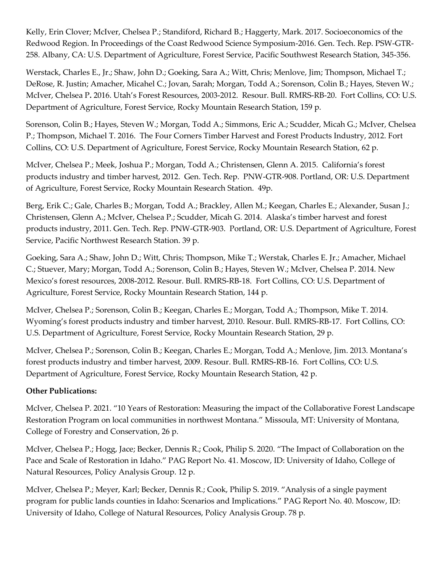Kelly, Erin Clover; McIver, Chelsea P.; Standiford, Richard B.; Haggerty, Mark. 2017. Socioeconomics of the Redwood Region. In Proceedings of the Coast Redwood Science Symposium-2016. Gen. Tech. Rep. PSW-GTR-258. Albany, CA: U.S. Department of Agriculture, Forest Service, Pacific Southwest Research Station, 345-356.

Werstack, Charles E., Jr.; Shaw, John D.; Goeking, Sara A.; Witt, Chris; Menlove, Jim; Thompson, Michael T.; DeRose, R. Justin; Amacher, Micahel C.; Jovan, Sarah; Morgan, Todd A.; Sorenson, Colin B.; Hayes, Steven W.; McIver, Chelsea P**.** 2016. Utah's Forest Resources, 2003-2012. Resour. Bull. RMRS-RB-20. Fort Collins, CO: U.S. Department of Agriculture, Forest Service, Rocky Mountain Research Station, 159 p.

Sorenson, Colin B.; Hayes, Steven W.; Morgan, Todd A.; Simmons, Eric A.; Scudder, Micah G.; McIver, Chelsea P.; Thompson, Michael T. 2016. The Four Corners Timber Harvest and Forest Products Industry, 2012. Fort Collins, CO: U.S. Department of Agriculture, Forest Service, Rocky Mountain Research Station, 62 p.

McIver, Chelsea P.; Meek, Joshua P.; Morgan, Todd A.; Christensen, Glenn A. 2015. California's forest products industry and timber harvest, 2012. Gen. Tech. Rep. PNW-GTR-908. Portland, OR: U.S. Department of Agriculture, Forest Service, Rocky Mountain Research Station. 49p.

Berg, Erik C.; Gale, Charles B.; Morgan, Todd A.; Brackley, Allen M.; Keegan, Charles E.; Alexander, Susan J.; Christensen, Glenn A.; McIver, Chelsea P.; Scudder, Micah G. 2014. Alaska's timber harvest and forest products industry, 2011. Gen. Tech. Rep. PNW-GTR-903. Portland, OR: U.S. Department of Agriculture, Forest Service, Pacific Northwest Research Station. 39 p.

Goeking, Sara A.; Shaw, John D.; Witt, Chris; Thompson, Mike T.; Werstak, Charles E. Jr.; Amacher, Michael C.; Stuever, Mary; Morgan, Todd A.; Sorenson, Colin B.; Hayes, Steven W.; McIver, Chelsea P. 2014. New Mexico's forest resources, 2008-2012. Resour. Bull. RMRS-RB-18. Fort Collins, CO: U.S. Department of Agriculture, Forest Service, Rocky Mountain Research Station, 144 p.

McIver, Chelsea P.; Sorenson, Colin B.; Keegan, Charles E.; Morgan, Todd A.; Thompson, Mike T. 2014. Wyoming's forest products industry and timber harvest, 2010. Resour. Bull. RMRS-RB-17. Fort Collins, CO: U.S. Department of Agriculture, Forest Service, Rocky Mountain Research Station, 29 p.

McIver, Chelsea P.; Sorenson, Colin B.; Keegan, Charles E.; Morgan, Todd A.; Menlove, Jim. 2013. Montana's forest products industry and timber harvest, 2009. Resour. Bull. RMRS-RB-16. Fort Collins, CO: U.S. Department of Agriculture, Forest Service, Rocky Mountain Research Station, 42 p.

#### **Other Publications:**

McIver, Chelsea P. 2021. "10 Years of Restoration: Measuring the impact of the Collaborative Forest Landscape Restoration Program on local communities in northwest Montana." Missoula, MT: University of Montana, College of Forestry and Conservation, 26 p.

McIver, Chelsea P.; Hogg, Jace; Becker, Dennis R.; Cook, Philip S. 2020. "The Impact of Collaboration on the Pace and Scale of Restoration in Idaho." PAG Report No. 41. Moscow, ID: University of Idaho, College of Natural Resources, Policy Analysis Group. 12 p.

McIver, Chelsea P.; Meyer, Karl; Becker, Dennis R.; Cook, Philip S. 2019. "Analysis of a single payment program for public lands counties in Idaho: Scenarios and Implications." PAG Report No. 40. Moscow, ID: University of Idaho, College of Natural Resources, Policy Analysis Group. 78 p.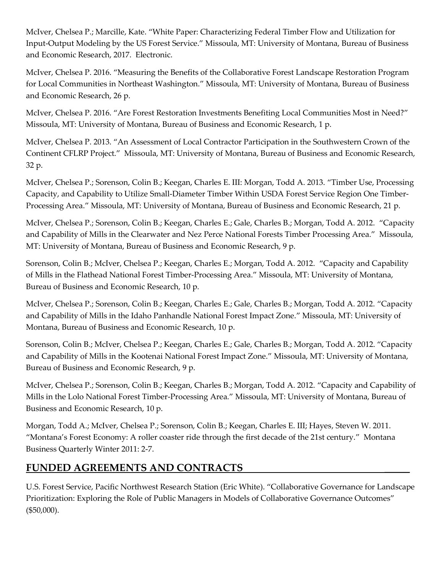McIver, Chelsea P.; Marcille, Kate. "White Paper: Characterizing Federal Timber Flow and Utilization for Input-Output Modeling by the US Forest Service." Missoula, MT: University of Montana, Bureau of Business and Economic Research, 2017. Electronic.

McIver, Chelsea P. 2016. "Measuring the Benefits of the Collaborative Forest Landscape Restoration Program for Local Communities in Northeast Washington." Missoula, MT: University of Montana, Bureau of Business and Economic Research, 26 p.

McIver, Chelsea P. 2016. "Are Forest Restoration Investments Benefiting Local Communities Most in Need?" Missoula, MT: University of Montana, Bureau of Business and Economic Research, 1 p.

McIver, Chelsea P. 2013. "An Assessment of Local Contractor Participation in the Southwestern Crown of the Continent CFLRP Project." Missoula, MT: University of Montana, Bureau of Business and Economic Research, 32 p.

McIver, Chelsea P.; Sorenson, Colin B.; Keegan, Charles E. III: Morgan, Todd A. 2013. "Timber Use, Processing Capacity, and Capability to Utilize Small-Diameter Timber Within USDA Forest Service Region One Timber-Processing Area." Missoula, MT: University of Montana, Bureau of Business and Economic Research, 21 p.

McIver, Chelsea P.; Sorenson, Colin B.; Keegan, Charles E.; Gale, Charles B.; Morgan, Todd A. 2012. "Capacity and Capability of Mills in the Clearwater and Nez Perce National Forests Timber Processing Area." Missoula, MT: University of Montana, Bureau of Business and Economic Research, 9 p.

Sorenson, Colin B.; McIver, Chelsea P.; Keegan, Charles E.; Morgan, Todd A. 2012. "Capacity and Capability of Mills in the Flathead National Forest Timber-Processing Area." Missoula, MT: University of Montana, Bureau of Business and Economic Research, 10 p.

McIver, Chelsea P.; Sorenson, Colin B.; Keegan, Charles E.; Gale, Charles B.; Morgan, Todd A. 2012. "Capacity and Capability of Mills in the Idaho Panhandle National Forest Impact Zone." Missoula, MT: University of Montana, Bureau of Business and Economic Research, 10 p.

Sorenson, Colin B.; McIver, Chelsea P.; Keegan, Charles E.; Gale, Charles B.; Morgan, Todd A. 2012. "Capacity and Capability of Mills in the Kootenai National Forest Impact Zone." Missoula, MT: University of Montana, Bureau of Business and Economic Research, 9 p.

McIver, Chelsea P.; Sorenson, Colin B.; Keegan, Charles B.; Morgan, Todd A. 2012. "Capacity and Capability of Mills in the Lolo National Forest Timber-Processing Area." Missoula, MT: University of Montana, Bureau of Business and Economic Research, 10 p.

Morgan, Todd A.; McIver, Chelsea P.; Sorenson, Colin B.; Keegan, Charles E. III; Hayes, Steven W. 2011. "Montana's Forest Economy: A roller coaster ride through the first decade of the 21st century." Montana Business Quarterly Winter 2011: 2-7.

### **FUNDED AGREEMENTS AND CONTRACTS** \_\_\_\_\_

U.S. Forest Service, Pacific Northwest Research Station (Eric White). "Collaborative Governance for Landscape Prioritization: Exploring the Role of Public Managers in Models of Collaborative Governance Outcomes" (\$50,000).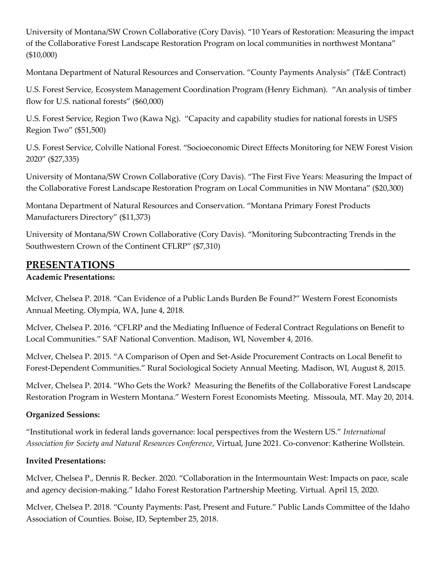University of Montana/SW Crown Collaborative (Cory Davis). "10 Years of Restoration: Measuring the impact of the Collaborative Forest Landscape Restoration Program on local communities in northwest Montana" (\$10,000)

Montana Department of Natural Resources and Conservation. "County Payments Analysis" (T&E Contract)

U.S. Forest Service, Ecosystem Management Coordination Program (Henry Eichman). "An analysis of timber flow for U.S. national forests" (\$60,000)

U.S. Forest Service, Region Two (Kawa Ng). "Capacity and capability studies for national forests in USFS Region Two" (\$51,500)

U.S. Forest Service, Colville National Forest. "Socioeconomic Direct Effects Monitoring for NEW Forest Vision 2020" (\$27,335)

University of Montana/SW Crown Collaborative (Cory Davis). "The First Five Years: Measuring the Impact of the Collaborative Forest Landscape Restoration Program on Local Communities in NW Montana" (\$20,300)

Montana Department of Natural Resources and Conservation. "Montana Primary Forest Products Manufacturers Directory" (\$11,373)

University of Montana/SW Crown Collaborative (Cory Davis). "Monitoring Subcontracting Trends in the Southwestern Crown of the Continent CFLRP" (\$7,310)

#### **PRESENTATIONS \_\_\_\_\_**

#### **Academic Presentations:**

McIver, Chelsea P. 2018. "Can Evidence of a Public Lands Burden Be Found?" Western Forest Economists Annual Meeting. Olympia, WA, June 4, 2018.

McIver, Chelsea P. 2016. "CFLRP and the Mediating Influence of Federal Contract Regulations on Benefit to Local Communities." SAF National Convention. Madison, WI, November 4, 2016.

McIver, Chelsea P. 2015. "A Comparison of Open and Set-Aside Procurement Contracts on Local Benefit to Forest-Dependent Communities." Rural Sociological Society Annual Meeting. Madison, WI, August 8, 2015.

McIver, Chelsea P. 2014. "Who Gets the Work? Measuring the Benefits of the Collaborative Forest Landscape Restoration Program in Western Montana." Western Forest Economists Meeting. Missoula, MT. May 20, 2014.

#### **Organized Sessions:**

"Institutional work in federal lands governance: local perspectives from the Western US." *International Association for Society and Natural Resources Conference*, Virtual, June 2021. Co-convenor: Katherine Wollstein.

#### **Invited Presentations:**

McIver, Chelsea P., Dennis R. Becker. 2020. "Collaboration in the Intermountain West: Impacts on pace, scale and agency decision-making." Idaho Forest Restoration Partnership Meeting. Virtual. April 15, 2020.

McIver, Chelsea P. 2018. "County Payments: Past, Present and Future." Public Lands Committee of the Idaho Association of Counties. Boise, ID, September 25, 2018.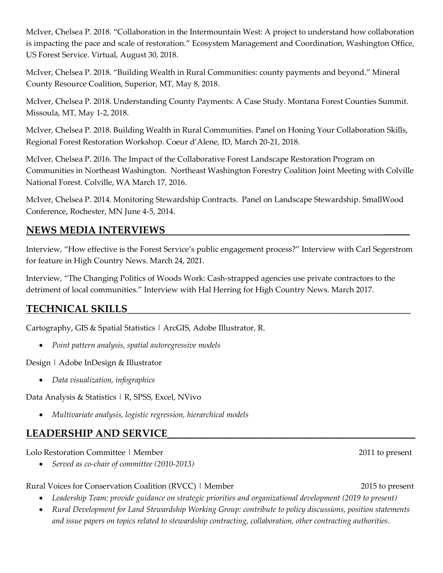McIver, Chelsea P. 2018. "Collaboration in the Intermountain West: A project to understand how collaboration is impacting the pace and scale of restoration." Ecosystem Management and Coordination, Washington Office, US Forest Service. Virtual, August 30, 2018.

McIver, Chelsea P. 2018. "Building Wealth in Rural Communities: county payments and beyond." Mineral County Resource Coalition, Superior, MT, May 8, 2018.

McIver, Chelsea P. 2018. Understanding County Payments: A Case Study. Montana Forest Counties Summit. Missoula, MT, May 1-2, 2018.

McIver, Chelsea P. 2018. Building Wealth in Rural Communities. Panel on Honing Your Collaboration Skills, Regional Forest Restoration Workshop. Coeur d'Alene, ID, March 20-21, 2018.

McIver, Chelsea P. 2016. The Impact of the Collaborative Forest Landscape Restoration Program on Communities in Northeast Washington. Northeast Washington Forestry Coalition Joint Meeting with Colville National Forest. Colville, WA March 17, 2016.

McIver, Chelsea P. 2014. Monitoring Stewardship Contracts. Panel on Landscape Stewardship. SmallWood Conference, Rochester, MN June 4-5, 2014.

### **NEWS MEDIA INTERVIEWS \_\_\_\_\_**

Interview, "How effective is the Forest Service's public engagement process?" Interview with Carl Segerstrom for feature in High Country News. March 24, 2021.

Interview, "The Changing Politics of Woods Work: Cash-strapped agencies use private contractors to the detriment of local communities." Interview with Hal Herring for High Country News. March 2017.

### **TECHNICAL SKILLS**\_\_\_\_\_\_\_\_\_\_\_\_\_\_\_\_\_\_\_\_\_\_\_\_\_\_\_\_\_\_\_\_\_\_\_\_\_\_\_\_\_\_\_\_\_\_\_\_\_\_\_\_\_\_\_\_

Cartography, GIS & Spatial Statistics | ArcGIS, Adobe Illustrator, R.

• *Point pattern analysis, spatial autoregressive models*

Design | Adobe InDesign & Illustrator

• *Data visualization, infographics*

Data Analysis & Statistics | R, SPSS, Excel, NVivo

• *Multivariate analysis, logistic regression, hierarchical models*

## LEADERSHIP AND SERVICE

Lolo Restoration Committee | Member 2011 to present

• *Served as co-chair of committee (2010-2013)*

Rural Voices for Conservation Coalition (RVCC) | Member 2015 to present

- *Leadership Team: provide guidance on strategic priorities and organizational development (2019 to present)*
- *Rural Development for Land Stewardship Working Group: contribute to policy discussions, position statements and issue papers on topics related to stewardship contracting, collaboration, other contracting authorities.*